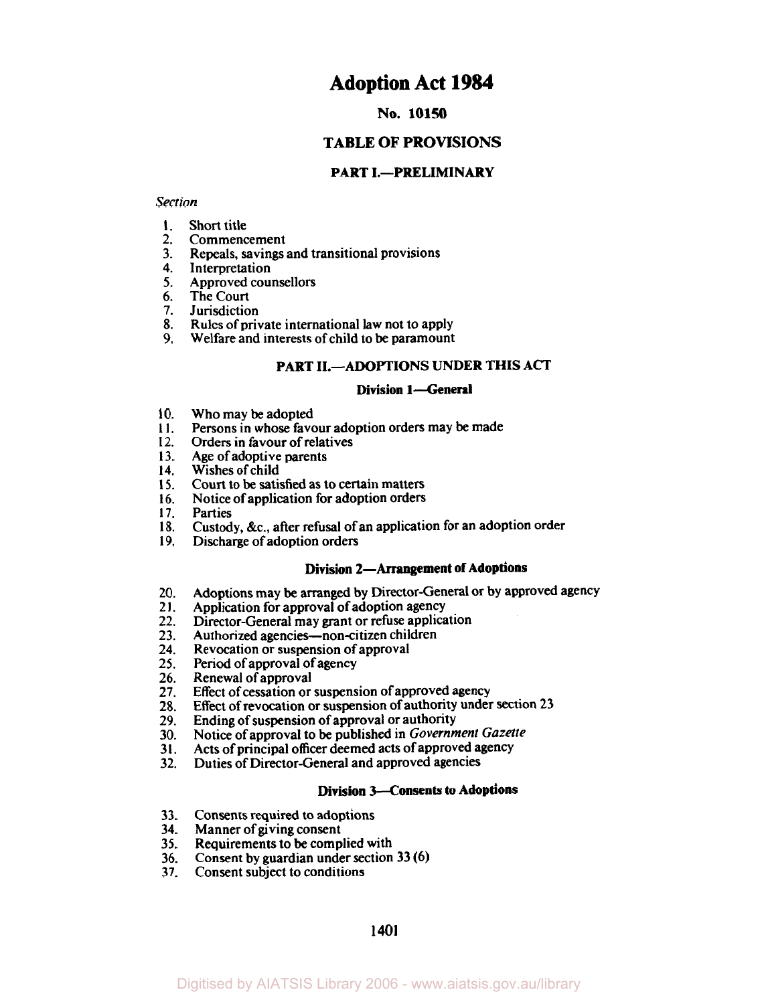# **Adoption Act 1984**

#### **No. 10150**

# **TABLE OF PROVISIONS**

#### **PART I.-PRELIMINARY**

#### *Section*

- **1.**  Short title
- **2.**  Commencement
- **3.**  Repeals, savings and transitional provisions
- **4.**  Interpretation
- **5.**  Approved counsellors
- **6.**  The Court
- **7.**  Jurisdiction
- **8.**  Rules of private international law not to apply
- **9.**  Welfare and interests of child to be paramount

#### **PART 11.-ADOPTIONS UNDER THIS ACT**

#### **Division l-General**

- **10.**  Who may be adopted
- **11.**  Persons in whose favour adoption orders may be made
- **12.**  Orders in favour of relatives
- **13.**  Age of adoptive parents
- **14.**  Wishes of child
- **15.**  Court to be satisfied as to certain matters
- **16.**  Notice of application for adoption orders
- **17.**  Parties
- **18.**  Custody, &c., after refusal of an application for an adoption order
- **19.**  Discharge of adoption orders

# **Division 2-Arrangement of Adoptions**

- **20.**  Adoptions may be arranged by Director-General or by approved agency Application for approval of adoption agency
- **21.**
- **22.**  Director-General may grant or refuse application
- **23.**  Authorized agencies-non-citizen children
- **24.**  Revocation or suspension of approval
- **25.**  Period of approval of agency
- **26.**  Renewal of approval
- **27.**  Effect of cessation or suspension of approved agency
- **28.**  Effect of revocation or suspension of authority under section **23**
- **29.**  Ending of suspension of approval or authority
- **30.**  Notice of approval **to** be published in *Government Gazette*
- **31.**  Acts of principal **officer** deemed acts of approved agency
- **32.**  Duties of Director-General and approved agencies

#### **Division 3-Consents to Adoptions**

- **33.**  Consents required to adoptions
- **34.**  Manner of giving consent
- **35.**  Requirements to be complied with
- **36.**  Consent by guardian under section **33 (6)**
- **37.**  Consent subject to conditions

**1401**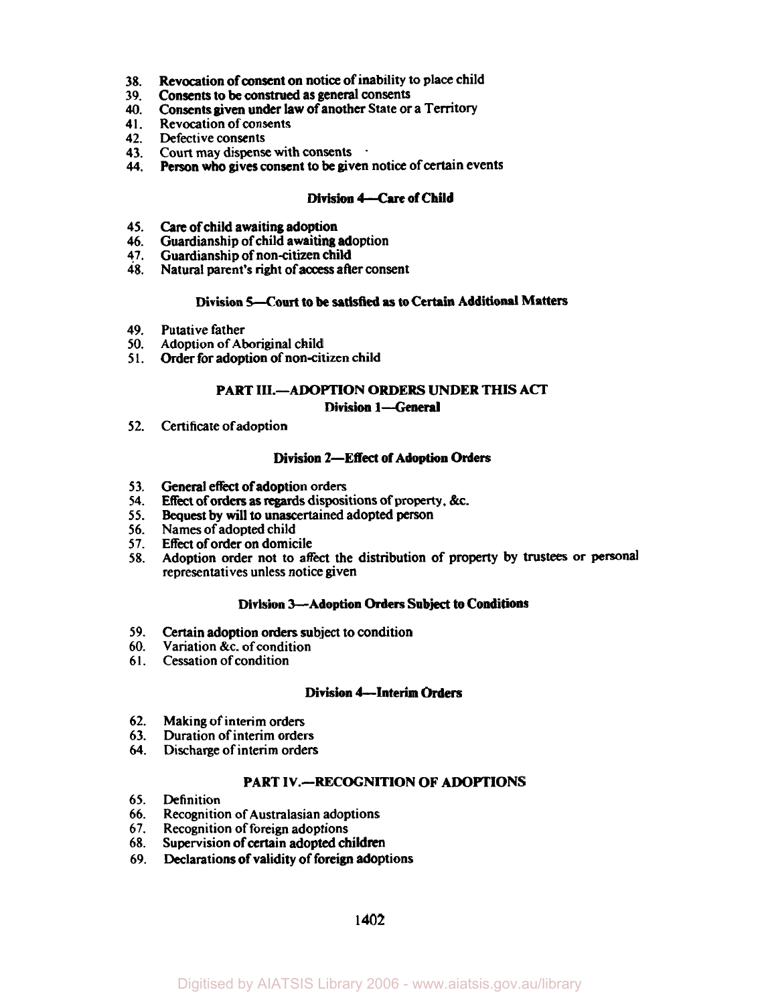- **38.**  Revocation of consent on notice of inability to place child
- **39.**  Consents to be construed as general consents
- **40.**  Consents given under law of another State or a Territory
- **4 1.** Revocation of consents
- 
- 42. Defective consents<br>43. Court may dispense with consents
- 43. Court may dispense with consents .<br>44. Person who gives consent to be given notice of certain events

## **Division** *4-Care* **of Child**

- **45.**  Care of child awaiting adoption
- **46.**  Guardianship of child awaiting adoption
- **47.** Guardianship of non-citizen child
- **48.**  Natural parent's right of access after consent

#### **Division 5-Court to be satisfied as to Certain Additional Matters**

- **49.** Putative father
- **50.** Adoption of Aboriginal child
- **<sup>5</sup>**I. Order for adoption of non-citizen child

#### **PART III.--ADOPTION ORDERS UNDER THIS ACT Division 1-General**

**52.** Certificate of adoption

## **Division 2-Effect of Adoption Orders**

- **53.**  General effect of adoption orders
- **54.**  Effect of orders as regards dispositions of property, &c.
- **55.**  Bequest by will to unascertained adopted **person**
- **56.** Names of adopted child
- **57.**  Effect of order on domicile
- **58.**  Adoption order not to affect the distribution of property by **trustees or** personal representatives unless notice given

#### **Division 3-Adoption Orders Subject to Conditions**

- **59.**  Certain adoption orders subject to condition
- **60.** Variation &c. of condition
- **61.** Cessation of condition

#### **Division 4-Interim Orders**

- **62.** Making of interim orders
- **63.** Duration of interim orders
- *64.* Discharge of interim orders

#### **PART IV.--RECOGNITION OF ADOPTIONS**

- **65.** Definition
- **66.** Recognition of Australasian adoptions
- **67.** Recognition of foreign adoptions
- **68.**  Supervision of certain adopted children
- **69.**  Declarations of validity of foreign adoptions

**1402**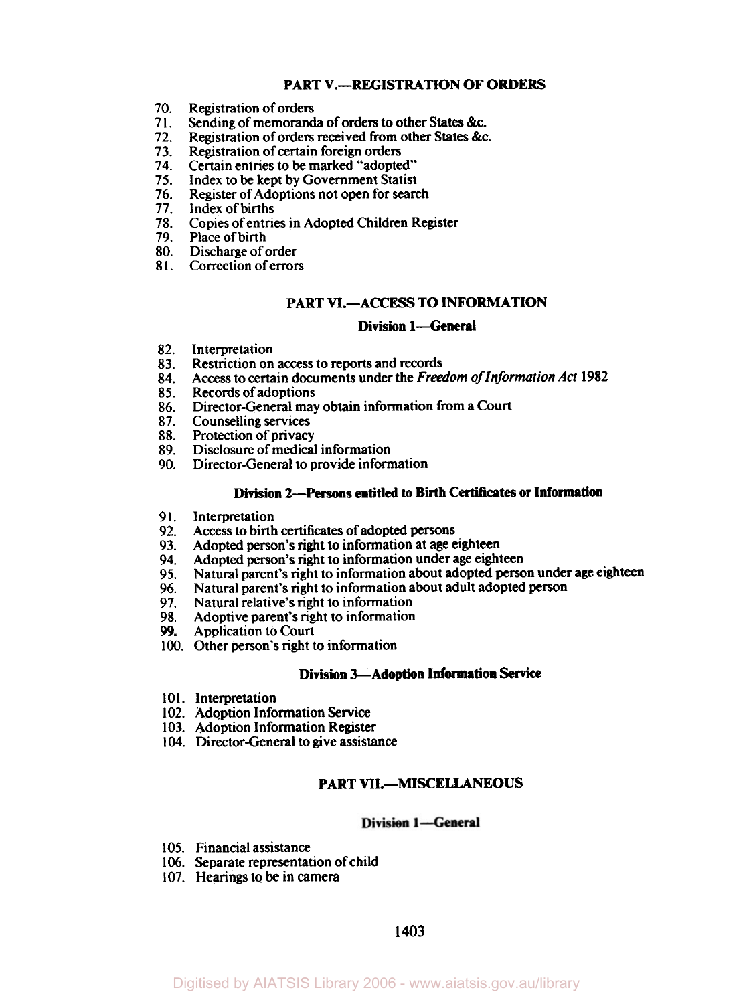## **PART V.-REGISTRATION OF ORDERS**

- Registration of orders **70.**
- Sending of memoranda of orders to other States &c. **71.**
- Registration of orders received from other States &c. **72.**
- Registration of certain foreign orders **73.**
- Certain entries to be marked "adopted" **74.**
- Index to be kept by Government Statist **75.**
- Register of Adoptions not open for search **76.**
- Index of births **77.**
- Copies of entries in Adopted Children Register **78.**
- 79. Place of birth
- Discharge of order **80.**
- Correction of errors **81.**

# **PART VI.-ACCESS TO INFORMATION**

#### **Division l-General**

- **82.**  Interpretation
- **83.**  Restriction on access to reports and records
- **84.**  Access to certain documents under the *Freedom of Information Act* **1982**
- **85.**  Records of adoptions
- **86.**  Director-General may obtain information from a Court
- **87.**  Counselling services
- **88.**  Protection of privacy
- **89.**  Disclosure of medical information
- **90.**  Director-General to provide information

#### **Division 2-Persons entitled to Birth Certificates or Information**

- **91.**  Interpretation
- **92.**  Access to birth certificates of adopted persons
- **93.**  Adopted person's right to information at age eighteen
- **94.**  Adopted person's right to information under age eighteen
- **95.**  Natural parent's right to information about adopted person under age eighteen
- **96.**  Natural parent's right to information about adult adopted person
- **97.**  Natural relative's right to information
- **98.**  Adoptive parent's right to information
- **99.**  Application to Court
- 100. Other person's right to information

# **Division 3-Adoption Information** Service

- **101.** Interpretation
- **102.** Adoption Information Service
- **103.** Adoption Information Register
- **104.** Director-General to give assistance

### **PART VIL-MISCELLANEOUS**

#### **Division 1-General**

- 105. Financial assistance
- **106.** Separate representation of child
- 107. Hearings to be in camera

# **1403**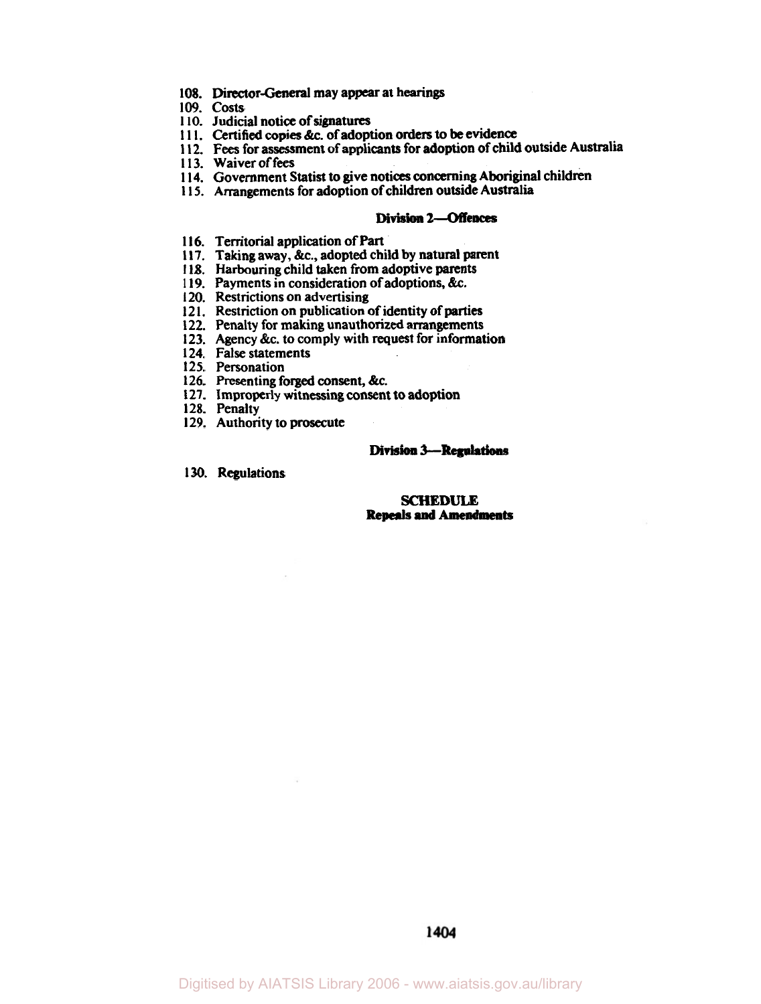- **108. Director-General** may appear at hearings
- **109. costs**
- **1 10.** Judicial notice of signatures
- **1 1 1.** Certified copies &c. of adoption orders **to be** evidence
- **1 12. Fees** for assessment of applicants for adoption of child outside Australia
- **1 13.** Waiver of fees
- **1 14.** Government Statist to give notices concerning Aboriginal children
- **1 15.** Arrangements for adoption of children outside Australia

#### **Division2--Offences**

- **116.**  Territorial application of **Part**
- **117.**  Taking away, &c., adopted child **by** natural parent Harbouring child taken from adoptive parents
- 118. Harbouring child taken from adoptive parents
- **119.**  Payments in consideration of adoptions, &c.
- 120. Restrictions on advertising
- 120. Restrictions on advertising<br>121. Restriction on publication of identity of parties
- **122.**  Penalty for making unauthorized arrangements
- **123.**  Agency &c. to comply with request for information
- **124.**  False statements
- **125.**  Personation
- **126.**  Presenting forged consent, &c.
- **127.**  Improperly witnessing consent **to** adoption
- **128.**  Penalty
- **129.**  Authority to prosecute

#### **Division 3 - Regulations**

**130.** Regulations

#### *SCHEDULE*  **Repeals and Amendments**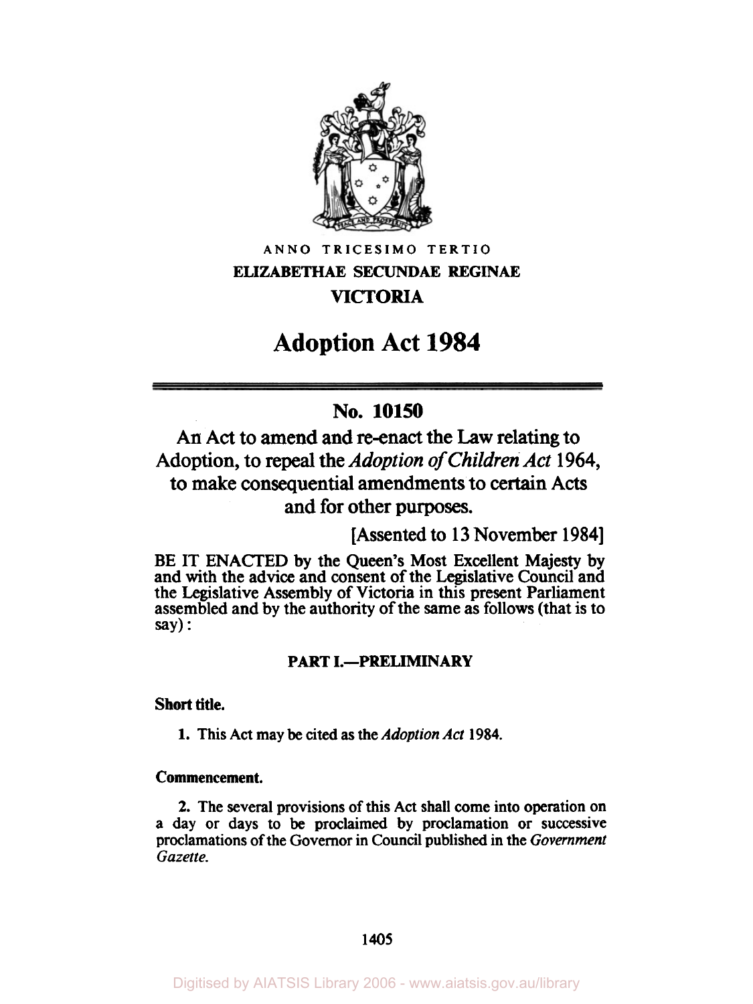

**ANNO TRICESIMO TERTIO ELIZABETHAE SECUNDAE REGINAE VICTORIA** 

# **Adoption Act 1984**

# **No. 10150**

**An Act to amend and re-enact the Law relating to Adoption, to repeal the** *Adoption* of *Children Act* **1964, to make consequential amendments to certain Acts and for other purposes.** 

**[Assented to 13 November 1984]** 

**BE IT ENACTED by the Queen's Most Excellent Majesty by and with the advice and consent of the Legislative Council and the Legislative Assembly of Victoria in this present Parliament assembled and by the authority of the same as follows (that is to say)** :

# **PART I.-PRELIMINARY**

# **Short title.**

**1. This Act may be cited as the** *Adoption Act* **1984.** 

# **Commencement.**

**2. The several provisions of this Act shall come into operation on a day or days to be proclaimed by proclamation or successive proclamations of the Governor in Council published in the** *Government Gazette.*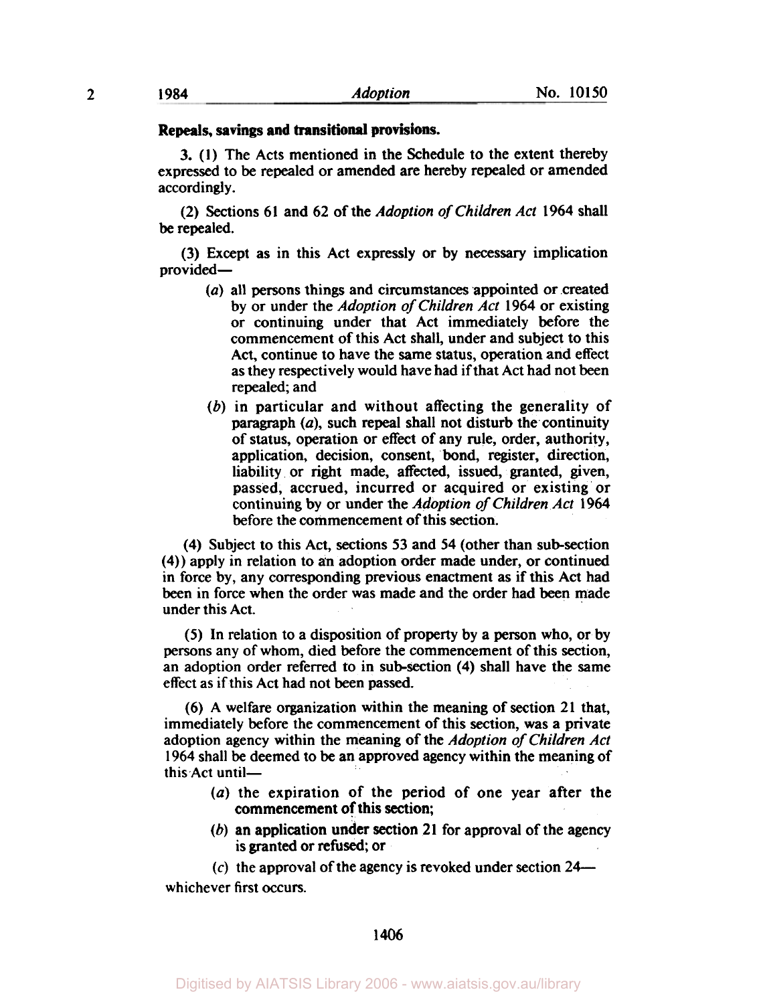#### **Repeals, savings and transitional provisions.**

3. **(I)** The Acts mentioned in the Schedule to the extent thereby expressed to be repealed or amended are hereby repealed or amended accordingly.

**(2)** Sections **61** and **62** of the *Adoption* of *Children Act* **1964** shall be repealed.

(3) Except as in this Act expressly or by necessary implication provided-

- *(a)* all persons things and circumstances appointed or created by or under the *Adoption of Children Act* **1964** or existing or continuing under that Act immediately before the commencement of this Act shall, under and subject to this Act, continue to have the same status, operation and effect as they respectively would have had if that Act had not been repealed; and
- (b) in particular and without affecting the generality of paragraph *(a),* such repeal shall not disturb the continuity of status, operation or effect of any rule, order, authority, application, decision, consent, bond, register, direction, liability or right made, affected, issued, granted, given, passed, accrued, incurred or acquired or existing or continuing by or under the *Adoption of Children Act* **1964**  before the commencement of this section.

**(4)** Subject to this Act, sections **53** and **54** (other than subsection **(4))** apply in relation to an adoption order made under, or continued in force by, any corresponding previous enactment as if this Act had been in force when the order was made and the order had been made under this Act.

**(5)** In relation to a disposition of property by a person who, or by persons any of whom, died before the commencement of this section, an adoption order referred **to** in subsection **(4)** shall have the same effect **as** if this Act had not been passed.

**(6)** A welfare organization within the meaning of section **21** that, immediately before the commencement of this section, was a private adoption agency within the meaning of the *Adoption of Children Act*  **1964** shall be deemed to be an approved agency within the meaning of this Act until-

- *(a)* the expiration of the period of one year after the commencement of this section;
- (b) an application under section **21** for approval of the agency is granted or refused; or

**(c)** the approval of the agency is revoked under section **24**  whichever first occurs.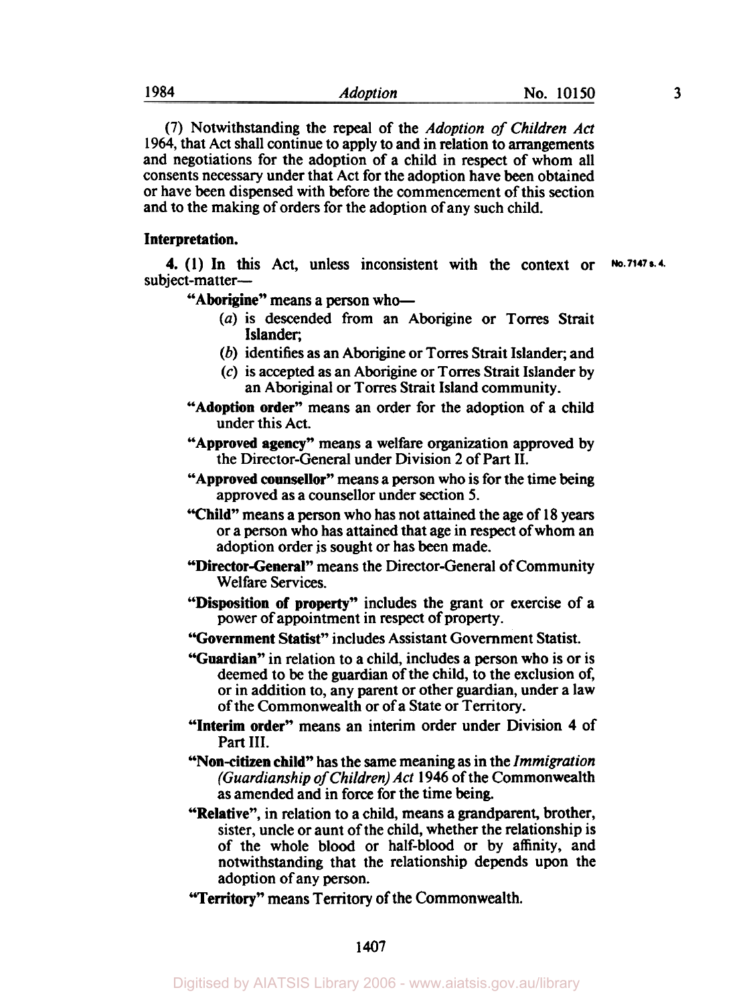**(7)** Notwithstanding the repeal of the *Adoption of Children Act*  **1964,** that Act shall continue to apply to and in relation to arrangements and negotiations for the adoption of a child in respect of whom all consents necessary under that Act for the adoption have been obtained or have been dispensed with before the commencement of this section and to the making of orders for the adoption of any such child.

#### **Interpretation.**

subject-matter-**4. (1)** In this Act, unless inconsistent with the context or **No. 7147 s. 4.** 

**"Aborigine"** means a person who-

- *(a)* is descended from an Aborigine or Torres Strait Islander;
- *(b)* identifies as an Aborigine or Torres Strait Islander, and
- (c) is accepted as an Aborigine or Torres Strait Islander by an Aboriginal or Torres Strait Island community.
- **"Adoption order"** means an order for the adoption of a child under this Act.
- **"Approved agency"** means a welfare organization approved by the Director-General under Division 2 of Part II.
- **"Approved counsellor"** means a person who is for the time being approved as a counsellor under section *5.*
- **"Child"** means a person who has not attained the age of **18** years or **a** person who has attained that age in respect of whom an adoption order **is** sought or has been made.
- **"Director-General"** means the Director-General of Community Welfare Services.
- **"Disposition** of **property"** includes the grant or exercise of a power of appointment in **respect** of property.
- **"Government Statist"** includes Assistant Government Statist.
- **"Guardian"** in relation to a child, includes a person who is or is deemed to be the guardian of the child, to the exclusion of, or in addition to, any parent or other guardian, under **a** law of the Commonwealth or of a State or Territory.
- **"Interim order"** means an interim order under Division **4** of Part III.
- **"Non-citizen child"** has the same meaning as in the *Immigration (Guardianship* of *Children) Act* **1946** of the Commonwealth as amended and in force for the time being.
- **"Relative",** in relation to **a** child, means a grandparent, brother, sister, uncle or aunt of the child, whether the relationship is of the whole blood or half-blood or by affinity, and notwithstanding that the relationship depends upon the adoption of any person.
- **"Territory"** means Territory of the Commonwealth.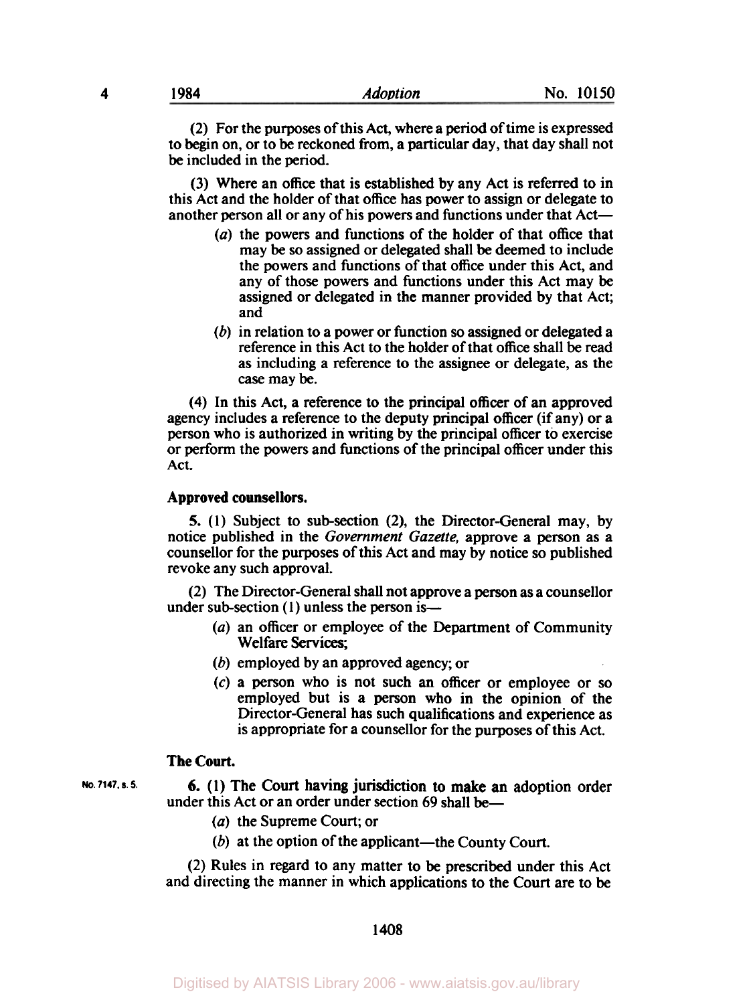(2) For the purposes of this Act, where a period of time is expressed to begin on, or to **be** reckoned from, a particular day, that day shall not **be** included in the period.

(3) Where an office that is established by any Act is referred to in this Act and the holder of that office has power to assign or delegate to another person all or any of his powers and functions under that Act-

- *(a)* the powers and functions of the holder of that office that may **be so** assigned or delegated shall **be** deemed to include the powers and functions of that office under this Act, and any of those powers and functions under this Act may **be**  assigned or delegated in the manner provided by that Act; and
- (b) in relation to a power or function **so** assigned or delegated a reference in this Act to the holder of that office shall be read as including a reference to the assignee or delegate, as the *case* may be.

**(4)** In this Act, a reference to the principal officer of an approved agency includes a reference to the deputy principal officer (if any) or a person who is authorized in writing by the principal officer to exercise or perform the powers and functions of the principal officer under this Act.

#### **Approved counsellors.**

**5.** (1) Subject to sub-section (2), the Director-General may, by notice published in the *Government Gazette,* approve a person as a counsellor for the purposes of this Act and may by notice **so** published revoke any such approval.

(2) The Director-General shall not approve a person as a counsellor under sub-section  $(1)$  unless the person is-

- *(a)* an officer or employee of the Department of Community Welfare Services;
- *(b)* employed by an approved agency; or
- **(c)** a person who is not such an officer or employee or **so**  employed but is a person who in the opinion of the Director-General has such qualifications and experience as is appropriate for a counsellor for the purposes of this Act.

#### **The Court.**

under this Act or an order under section 69 shall be-No. 7147, s. 5. 6. (1) The Court having jurisdiction to make an adoption order

- *(a)* the Supreme Court; or
- $(b)$  at the option of the applicant—the County Court.

(2) Rules in regard to any matter to **be** prescribed under this Act and directing the manner in which applications to the Court are to **be**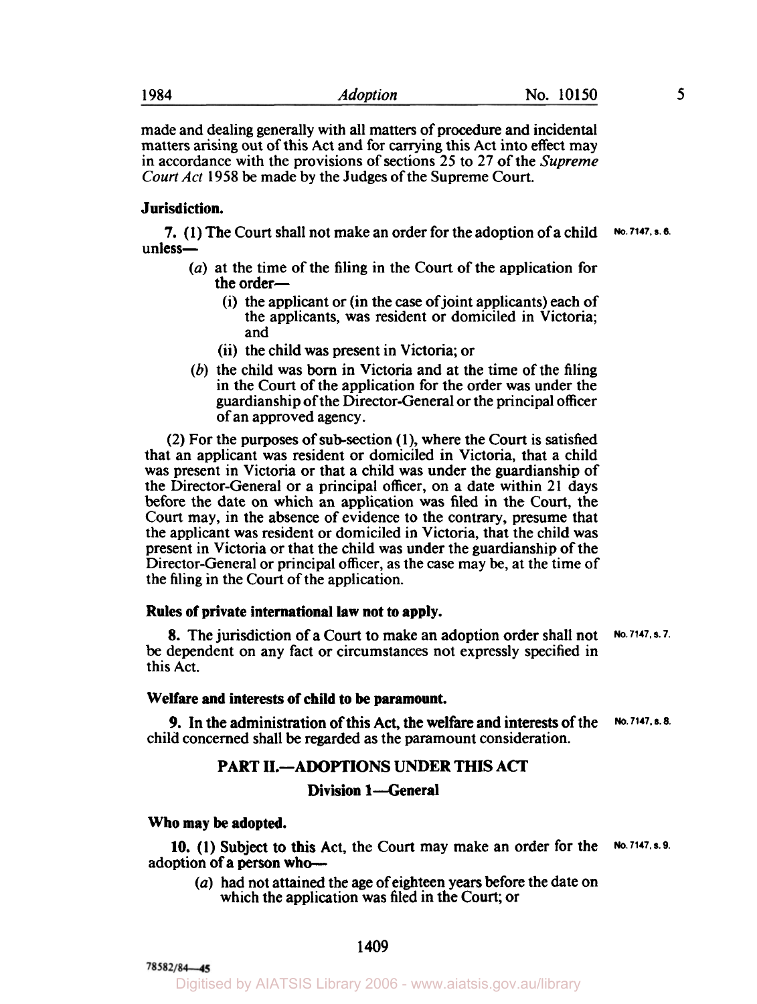made and dealing generally with all matters of procedure and incidental matters arising out of this Act and for carrying this Act into effect may in accordance with the provisions of sections **25** to 27 of the *Supreme Court* Act **1958** be made by the Judges of the Supreme Court.

# **Jurisdiction.**

unless-**7. (1)** The Court shall not make an order for the adoption of a child **No. 7147. s.6.** 

- *(a)* at the time of the filing in the Court of the application for the order-
	- (i) the applicant or (in the case of joint applicants) each of the applicants, was resident or domiciled in Victoria; and
	- (ii) the child was present in Victoria; or
- (b) the child was born in Victoria and at the time of the filing in the Court of the application for the order was under the guardianship of the Director-General or the principal officer of an approved agency.

(2) For the purposes of subsection **(l),** where the Court is satisfied that an applicant was resident or domiciled in Victoria, that a child was present in Victoria or that a child was under the guardianship of the Director-General or a principal officer, on a date within 21 days before the date on which an application was filed in the Court, the Court may, in the absence of evidence to the contrary, presume that the applicant was resident or domiciled in Victoria, that the child was present in Victoria or that the child was under the guardianship of the Director-General or principal officer, as the case may be, at the time of the filing in the Court of the application.

#### **Rules of private international law not to apply.**

**8.** The jurisdiction of a Court to make an adoption order shall not be dependent on any fact or circumstances not expressly specified in this Act. **No. 7147, s. 7.** 

#### **Welfare and interests of child to be paramount.**

child concerned shall be regarded as the paramount consideration. **9.** In the administration of this Act, the welfare and interests of the **No. 7147.s. 8.** 

## **PART 11.-ADOPTIONS UNDER THIS ACT**

# **Division 1-General**

**Who may be adopted.** 

adoption of a person who-**10. (1)** Subject to this Act, the Court may make an order for the **No. 7147. s.9.** 

*(a)* had not attained the age of eighteen years before the date on which the application was filed in the Court; or

78582/84-45